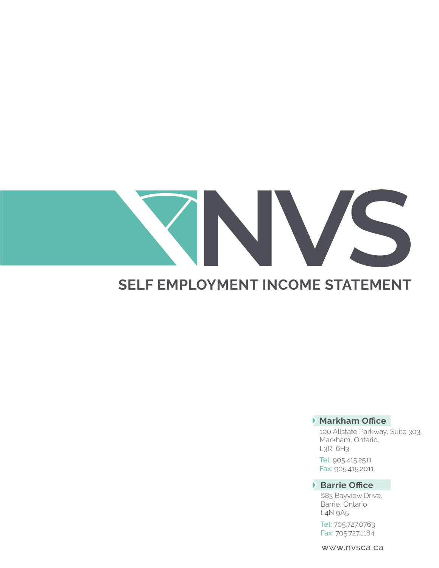# VS

### **SELF EMPLOYMENT INCOME STATEMENT**

#### **Markham Office**

100 Allstate Parkway, Suite 303, Markham, Ontario, L3R 6H3

Tel: 905.415.2511 Fax: 905.415.2011

#### **Barrie Office**

683 Bayview Drive, Barrie, Ontario, L4N 9A5

Tel: 705.727.0763 Fax: 705.727.1184

www.nvsca.ca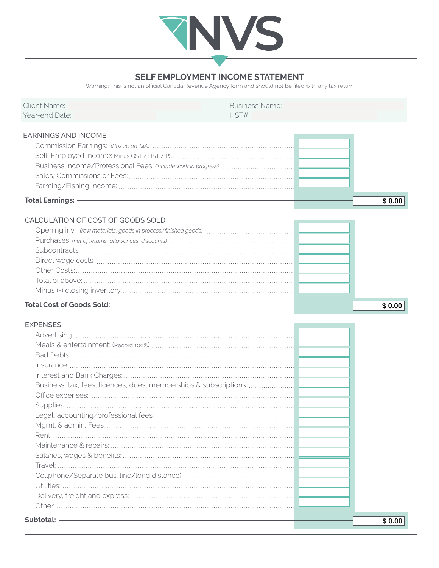

#### **SELF EMPLOYMENT INCOME STATEMENT**

Warning: This is not an official Canada Revenue Agency form and should not be filed with any tax return

| <b>Client Name:</b>                                              | <b>Business Name:</b> |        |
|------------------------------------------------------------------|-----------------------|--------|
| Year-end Date:                                                   | HST#:                 |        |
| <b>EARNINGS AND INCOME</b>                                       |                       |        |
|                                                                  |                       |        |
|                                                                  |                       |        |
|                                                                  |                       |        |
|                                                                  |                       |        |
|                                                                  |                       |        |
|                                                                  |                       |        |
| <b>Total Earnings: -</b>                                         |                       | \$0.00 |
| CALCULATION OF COST OF GOODS SOLD                                |                       |        |
|                                                                  |                       |        |
|                                                                  |                       |        |
|                                                                  |                       |        |
|                                                                  |                       |        |
|                                                                  |                       |        |
|                                                                  |                       |        |
|                                                                  |                       |        |
|                                                                  |                       |        |
|                                                                  |                       | \$0.00 |
|                                                                  |                       |        |
| <b>EXPENSES</b>                                                  |                       |        |
|                                                                  |                       |        |
|                                                                  |                       |        |
|                                                                  |                       |        |
|                                                                  |                       |        |
|                                                                  |                       |        |
| Business tax, fees, licences, dues, memberships & subscriptions: |                       |        |
|                                                                  |                       |        |
|                                                                  |                       |        |
|                                                                  |                       |        |
|                                                                  |                       |        |
| Rent <sup>.</sup>                                                |                       |        |
|                                                                  |                       |        |
|                                                                  |                       |        |
|                                                                  |                       |        |
|                                                                  |                       |        |
|                                                                  |                       |        |
|                                                                  |                       |        |
|                                                                  |                       |        |
| Subtotal: -                                                      |                       | \$0.00 |
|                                                                  |                       |        |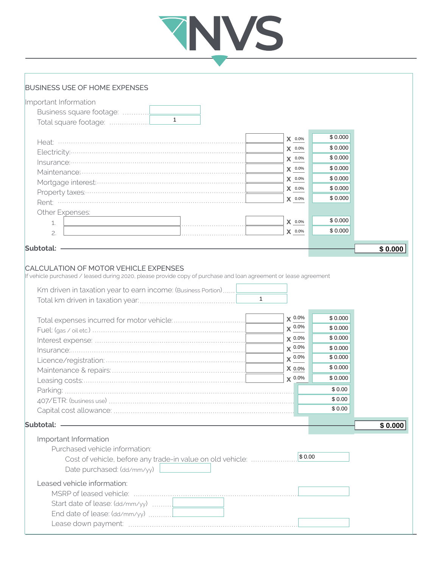## TNVS

#### BUSINESS USE OF HOME EXPENSES

| Important Information                                                                                            |                |         |         |
|------------------------------------------------------------------------------------------------------------------|----------------|---------|---------|
|                                                                                                                  |                |         |         |
| $\mathbf{1}$                                                                                                     |                |         |         |
|                                                                                                                  |                |         |         |
|                                                                                                                  | $X$ 0.0%       | \$0.000 |         |
| Electricity:                                                                                                     | $\bm{X}$ 0.0%  | \$0.000 |         |
|                                                                                                                  | $\bm{X}$ 0.0%  | \$0.000 |         |
|                                                                                                                  | $X$ 0.0%       | \$0.000 |         |
|                                                                                                                  | $X$ 0.0%       | \$0.000 |         |
|                                                                                                                  | $X$ 0.0%       | \$0.000 |         |
|                                                                                                                  | $X$ 0.0%       | \$0.000 |         |
| Other Expenses:                                                                                                  |                |         |         |
| 1.                                                                                                               | $X$ 0.0%       | \$0.000 |         |
| 2.                                                                                                               | $X$ 0.0%       | \$0.000 |         |
|                                                                                                                  |                |         |         |
| Subtotal:                                                                                                        |                |         | \$0.000 |
|                                                                                                                  |                |         |         |
| <b>CALCULATION OF MOTOR VEHICLE EXPENSES</b>                                                                     |                |         |         |
| If vehicle purchased / leased during 2020, please provide copy of purchase and loan agreement or lease agreement |                |         |         |
| Km driven in taxation year to earn income: (Business Portion)                                                    |                |         |         |
|                                                                                                                  |                |         |         |
|                                                                                                                  |                |         |         |
|                                                                                                                  | $\times$ 0.0%  | \$0.000 |         |
|                                                                                                                  | $\times$ 0.0%  | \$0.000 |         |
|                                                                                                                  | $\times$ 0.0%  | \$0.000 |         |
|                                                                                                                  | $\times 0.0\%$ | \$0.000 |         |
|                                                                                                                  | $X^{0.0\%}$    | \$0.000 |         |
|                                                                                                                  | X 0.0%         | \$0.000 |         |
|                                                                                                                  | $\times 0.0\%$ | \$0.000 |         |
|                                                                                                                  |                | \$0.00  |         |
|                                                                                                                  |                | \$0.00  |         |
|                                                                                                                  |                | \$0.00  |         |
|                                                                                                                  |                |         |         |
| Subtotal:                                                                                                        |                |         | \$0.000 |
| Important Information                                                                                            |                |         |         |
| Purchased vehicle information:                                                                                   |                |         |         |
| Cost of vehicle, before any trade-in value on old vehicle:                                                       | \$0.00         |         |         |
| Date purchased: (dd/mm/yy)                                                                                       |                |         |         |
|                                                                                                                  |                |         |         |
| Leased vehicle information:                                                                                      |                |         |         |
|                                                                                                                  |                |         |         |
| Start date of lease: (dd/mm/yy)                                                                                  |                |         |         |
| End date of lease: $(dd/mm/yy)$                                                                                  |                |         |         |
|                                                                                                                  |                |         |         |
|                                                                                                                  |                |         |         |